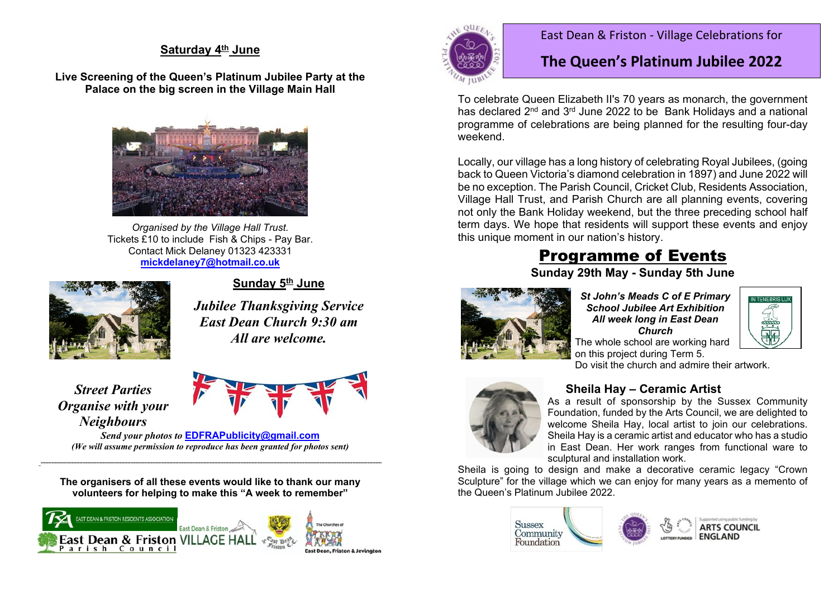### Saturday 4th June

Live Screening of the Queen's Platinum Jubilee Party at the Palace on the big screen in the Village Main Hall



Organised by the Village Hall Trust. Tickets £10 to include Fish & Chips - Pay Bar. Contact Mick Delaney 01323 423331 mickdelanev7@hotmail.co.uk



#### Sunday 5<sup>th</sup> June

**Jubilee Thanksgiving Service East Dean Church 9:30 am** All are welcome.

**Street Parties Organise with your Neighbours** 



Send vour photos to **EDFRAPublicity@amail.com** (We will assume permission to reproduce has been granted for photos sent)

The organisers of all these events would like to thank our many volunteers for helping to make this "A week to remember"





#### East Dean & Friston - Village Celebrations for

## The Queen's Platinum Jubilee 2022

To celebrate Queen Elizabeth II's 70 years as monarch, the government has declared 2<sup>nd</sup> and 3<sup>rd</sup> June 2022 to be Bank Holidays and a national programme of celebrations are being planned for the resulting four-dav weekend

Locally, our village has a long history of celebrating Royal Jubilees, (going back to Queen Victoria's diamond celebration in 1897) and June 2022 will be no exception. The Parish Council, Cricket Club, Residents Association, Village Hall Trust, and Parish Church are all planning events, covering not only the Bank Holiday weekend, but the three preceding school half term days. We hope that residents will support these events and enjoy this unique moment in our nation's history.

# **Programme of Events**

Sunday 29th May - Sunday 5th June



St John's Meads C of E Primary **School Jubilee Art Exhibition** All week long in East Dean Church The whole school are working hard



on this project during Term 5. Do visit the church and admire their artwork.



#### Sheila Hav - Ceramic Artist

As a result of sponsorship by the Sussex Community Foundation, funded by the Arts Council, we are delighted to welcome Sheila Hay, local artist to join our celebrations. Sheila Hay is a ceramic artist and educator who has a studio in East Dean. Her work ranges from functional ware to sculptural and installation work.

Sheila is going to design and make a decorative ceramic legacy "Crown Sculpture" for the village which we can enjoy for many years as a memento of the Queen's Platinum Jubilee 2022.